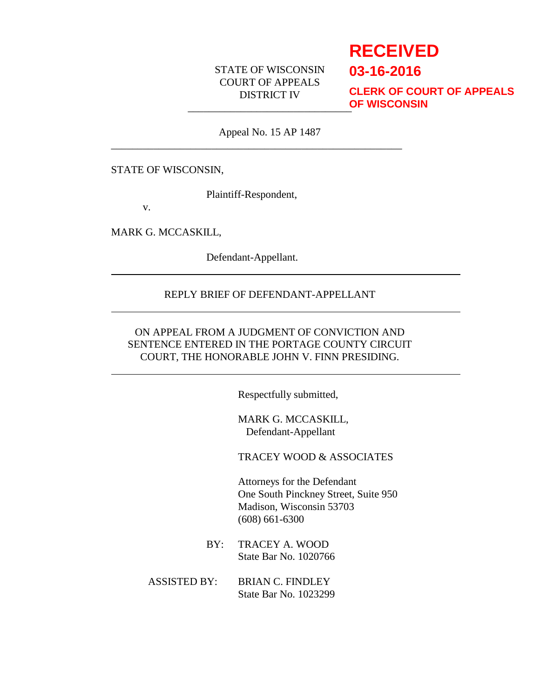## STATE OF WISCONSIN COURT OF APPEALS DISTRICT IV

# **RECEIVED**

**03-16-2016**

\_\_\_\_\_\_\_\_\_\_\_\_\_\_\_\_\_\_\_\_\_\_\_\_\_\_\_\_\_\_\_ **CLERK OF COURT OF APPEALS OF WISCONSIN**

Appeal No. 15 AP 1487

STATE OF WISCONSIN,

Plaintiff-Respondent,

\_\_\_\_\_\_\_\_\_\_\_\_\_\_\_\_\_\_\_\_\_\_\_\_\_\_\_\_\_\_\_\_\_\_\_\_\_\_\_\_\_\_\_\_\_\_\_\_\_\_\_\_\_\_\_

v.

MARK G. MCCASKILL,

Defendant-Appellant.

#### REPLY BRIEF OF DEFENDANT-APPELLANT

### ON APPEAL FROM A JUDGMENT OF CONVICTION AND SENTENCE ENTERED IN THE PORTAGE COUNTY CIRCUIT COURT, THE HONORABLE JOHN V. FINN PRESIDING.

Respectfully submitted,

MARK G. MCCASKILL, Defendant-Appellant

TRACEY WOOD & ASSOCIATES

Attorneys for the Defendant One South Pinckney Street, Suite 950 Madison, Wisconsin 53703 (608) 661-6300

- BY: TRACEY A. WOOD State Bar No. 1020766
- ASSISTED BY: BRIAN C. FINDLEY State Bar No. 1023299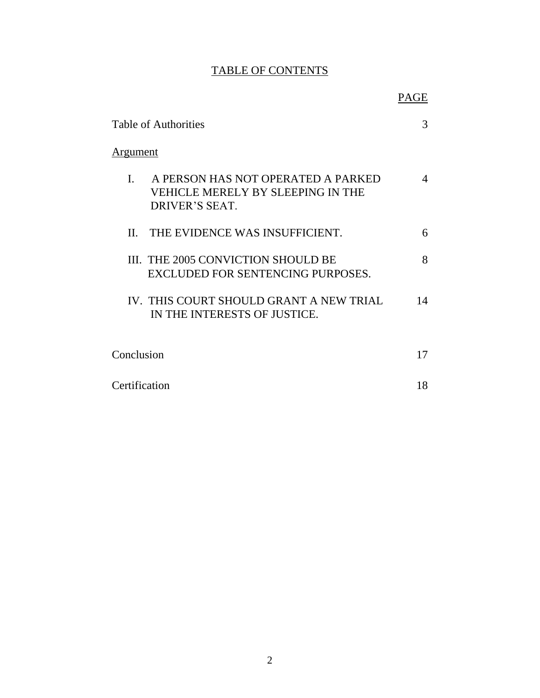# TABLE OF CONTENTS

|                                                                                                             | PAGE |
|-------------------------------------------------------------------------------------------------------------|------|
| <b>Table of Authorities</b>                                                                                 | 3    |
| <u>Argument</u>                                                                                             |      |
| A PERSON HAS NOT OPERATED A PARKED<br>$\mathbf{I}$ .<br>VEHICLE MERELY BY SLEEPING IN THE<br>DRIVER'S SEAT. | 4    |
| THE EVIDENCE WAS INSUFFICIENT.<br>$\Pi$                                                                     | 6    |
| III. THE 2005 CONVICTION SHOULD BE<br>EXCLUDED FOR SENTENCING PURPOSES.                                     | 8    |
| IV. THIS COURT SHOULD GRANT A NEW TRIAL<br>IN THE INTERESTS OF JUSTICE.                                     | 14   |
| Conclusion                                                                                                  | 17   |
|                                                                                                             |      |
| Certification                                                                                               | 18   |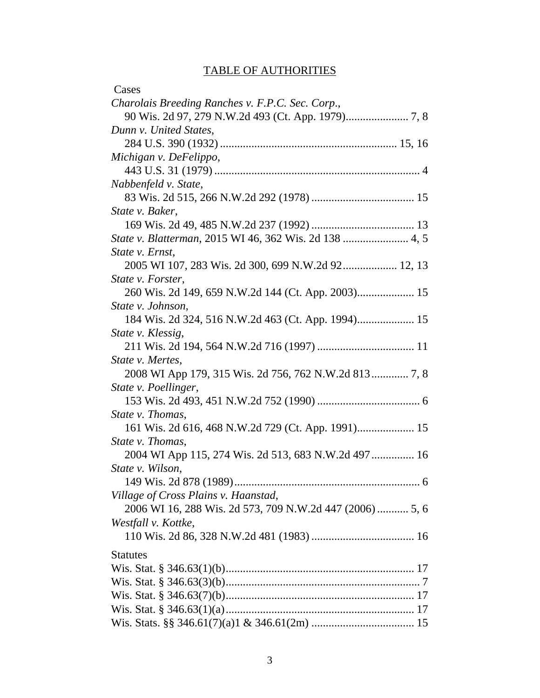# TABLE OF AUTHORITIES

| Cases                                                    |
|----------------------------------------------------------|
| Charolais Breeding Ranches v. F.P.C. Sec. Corp.,         |
|                                                          |
| Dunn v. United States,                                   |
|                                                          |
| Michigan v. DeFelippo,                                   |
|                                                          |
| Nabbenfeld v. State,                                     |
|                                                          |
| State v. Baker,                                          |
|                                                          |
|                                                          |
| State v. Ernst,                                          |
| 2005 WI 107, 283 Wis. 2d 300, 699 N.W.2d 92 12, 13       |
| State v. Forster,                                        |
| 260 Wis. 2d 149, 659 N.W.2d 144 (Ct. App. 2003) 15       |
| State v. Johnson,                                        |
|                                                          |
| State v. Klessig,                                        |
|                                                          |
| State v. Mertes,                                         |
|                                                          |
| State v. Poellinger,                                     |
|                                                          |
| State v. Thomas,                                         |
| 161 Wis. 2d 616, 468 N.W.2d 729 (Ct. App. 1991) 15       |
| State v. Thomas,                                         |
| 2004 WI App 115, 274 Wis. 2d 513, 683 N.W.2d 497 16      |
| State v. Wilson,                                         |
|                                                          |
| Village of Cross Plains v. Haanstad,                     |
| 2006 WI 16, 288 Wis. 2d 573, 709 N.W.2d 447 (2006)  5, 6 |
| Westfall v. Kottke,                                      |
|                                                          |
| <b>Statutes</b>                                          |
|                                                          |
|                                                          |
|                                                          |
|                                                          |
|                                                          |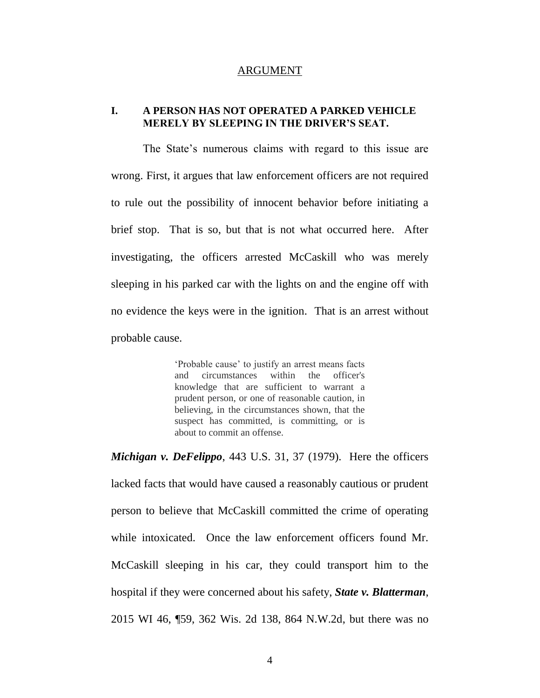#### ARGUMENT

#### **I. A PERSON HAS NOT OPERATED A PARKED VEHICLE MERELY BY SLEEPING IN THE DRIVER'S SEAT.**

The State's numerous claims with regard to this issue are wrong. First, it argues that law enforcement officers are not required to rule out the possibility of innocent behavior before initiating a brief stop. That is so, but that is not what occurred here. After investigating, the officers arrested McCaskill who was merely sleeping in his parked car with the lights on and the engine off with no evidence the keys were in the ignition. That is an arrest without probable cause.

> 'Probable cause' to justify an arrest means facts and circumstances within the officer's knowledge that are sufficient to warrant a prudent person, or one of reasonable caution, in believing, in the circumstances shown, that the suspect has committed, is committing, or is about to commit an offense.

*Michigan v. DeFelippo*, 443 U.S. 31, 37 (1979). Here the officers lacked facts that would have caused a reasonably cautious or prudent person to believe that McCaskill committed the crime of operating while intoxicated. Once the law enforcement officers found Mr. McCaskill sleeping in his car, they could transport him to the hospital if they were concerned about his safety, *State v. Blatterman*, 2015 WI 46, ¶59, 362 Wis. 2d 138, 864 N.W.2d, but there was no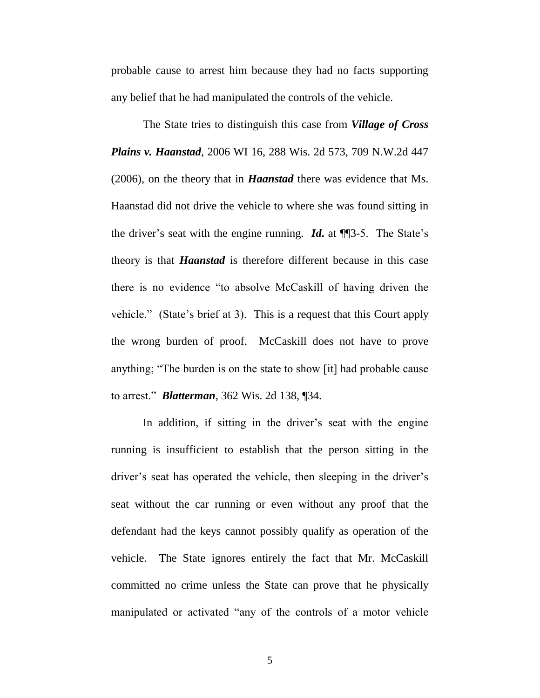probable cause to arrest him because they had no facts supporting any belief that he had manipulated the controls of the vehicle.

The State tries to distinguish this case from *Village of Cross Plains v. Haanstad*, 2006 WI 16, 288 Wis. 2d 573, 709 N.W.2d 447 (2006), on the theory that in *Haanstad* there was evidence that Ms. Haanstad did not drive the vehicle to where she was found sitting in the driver's seat with the engine running. *Id***.** at ¶¶3-5. The State's theory is that *Haanstad* is therefore different because in this case there is no evidence "to absolve McCaskill of having driven the vehicle." (State's brief at 3). This is a request that this Court apply the wrong burden of proof. McCaskill does not have to prove anything; "The burden is on the state to show [it] had probable cause to arrest." *Blatterman*, 362 Wis. 2d 138, ¶34.

In addition, if sitting in the driver's seat with the engine running is insufficient to establish that the person sitting in the driver's seat has operated the vehicle, then sleeping in the driver's seat without the car running or even without any proof that the defendant had the keys cannot possibly qualify as operation of the vehicle. The State ignores entirely the fact that Mr. McCaskill committed no crime unless the State can prove that he physically manipulated or activated "any of the controls of a motor vehicle

5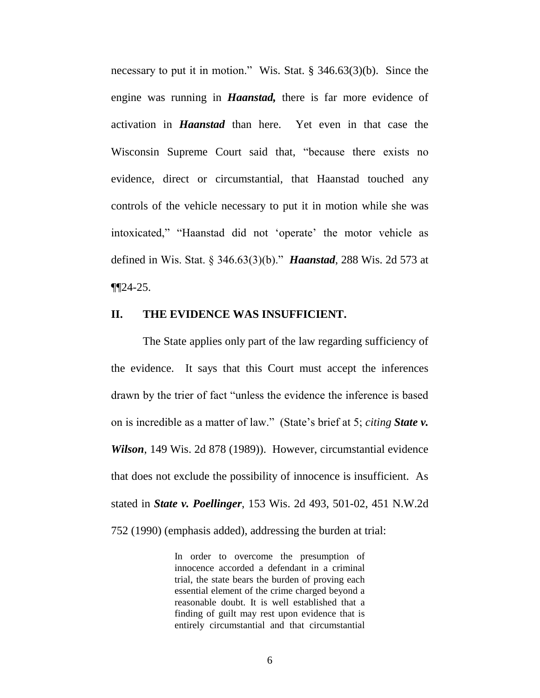necessary to put it in motion." Wis. Stat. § 346.63(3)(b). Since the engine was running in *Haanstad,* there is far more evidence of activation in *Haanstad* than here. Yet even in that case the Wisconsin Supreme Court said that, "because there exists no evidence, direct or circumstantial, that Haanstad touched any controls of the vehicle necessary to put it in motion while she was intoxicated," "Haanstad did not 'operate' the motor vehicle as defined in Wis. Stat. § 346.63(3)(b)." *Haanstad*, 288 Wis. 2d 573 at ¶¶24-25.

#### **II. THE EVIDENCE WAS INSUFFICIENT.**

The State applies only part of the law regarding sufficiency of the evidence. It says that this Court must accept the inferences drawn by the trier of fact "unless the evidence the inference is based on is incredible as a matter of law." (State's brief at 5; *citing State v. Wilson*, 149 Wis. 2d 878 (1989)). However, circumstantial evidence that does not exclude the possibility of innocence is insufficient. As stated in *State v. Poellinger*, 153 Wis. 2d 493, 501-02, 451 N.W.2d 752 (1990) (emphasis added), addressing the burden at trial:

> In order to overcome the presumption of innocence accorded a defendant in a criminal trial, the state bears the burden of proving each essential element of the crime charged beyond a reasonable doubt. It is well established that a finding of guilt may rest upon evidence that is entirely circumstantial and that circumstantial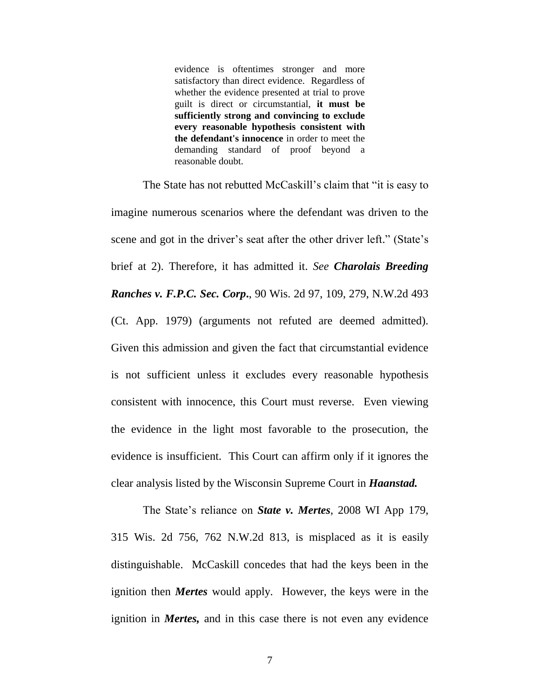evidence is oftentimes stronger and more satisfactory than direct evidence. Regardless of whether the evidence presented at trial to prove guilt is direct or circumstantial, **it must be sufficiently strong and convincing to exclude every reasonable hypothesis consistent with the defendant's innocence** in order to meet the demanding standard of proof beyond a reasonable doubt.

The State has not rebutted McCaskill's claim that "it is easy to imagine numerous scenarios where the defendant was driven to the scene and got in the driver's seat after the other driver left." (State's brief at 2). Therefore, it has admitted it. *See Charolais Breeding Ranches v. F.P.C. Sec. Corp***.**, 90 Wis. 2d 97, 109, 279, N.W.2d 493 (Ct. App. 1979) (arguments not refuted are deemed admitted). Given this admission and given the fact that circumstantial evidence is not sufficient unless it excludes every reasonable hypothesis consistent with innocence, this Court must reverse. Even viewing the evidence in the light most favorable to the prosecution, the evidence is insufficient. This Court can affirm only if it ignores the clear analysis listed by the Wisconsin Supreme Court in *Haanstad.*

The State's reliance on *State v. Mertes*, 2008 WI App 179, 315 Wis. 2d 756, 762 N.W.2d 813, is misplaced as it is easily distinguishable. McCaskill concedes that had the keys been in the ignition then *Mertes* would apply. However, the keys were in the ignition in *Mertes,* and in this case there is not even any evidence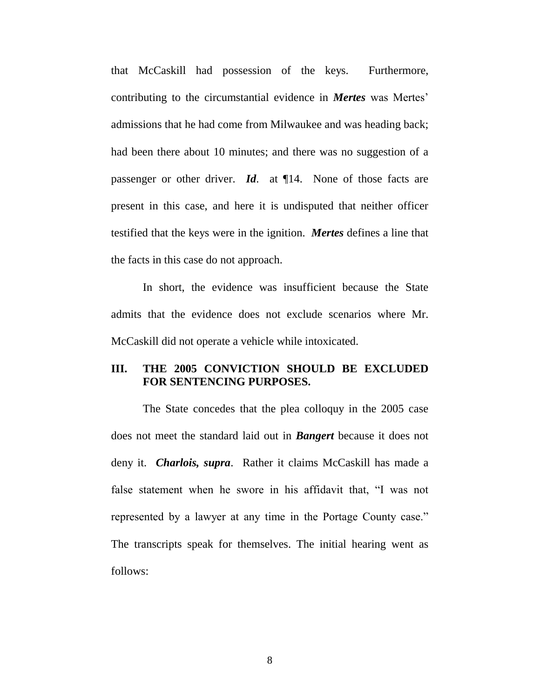that McCaskill had possession of the keys. Furthermore, contributing to the circumstantial evidence in *Mertes* was Mertes' admissions that he had come from Milwaukee and was heading back; had been there about 10 minutes; and there was no suggestion of a passenger or other driver. *Id*. at ¶14. None of those facts are present in this case, and here it is undisputed that neither officer testified that the keys were in the ignition. *Mertes* defines a line that the facts in this case do not approach.

In short, the evidence was insufficient because the State admits that the evidence does not exclude scenarios where Mr. McCaskill did not operate a vehicle while intoxicated.

# **III. THE 2005 CONVICTION SHOULD BE EXCLUDED FOR SENTENCING PURPOSES.**

The State concedes that the plea colloquy in the 2005 case does not meet the standard laid out in *Bangert* because it does not deny it. *Charlois, supra*. Rather it claims McCaskill has made a false statement when he swore in his affidavit that, "I was not represented by a lawyer at any time in the Portage County case." The transcripts speak for themselves. The initial hearing went as follows: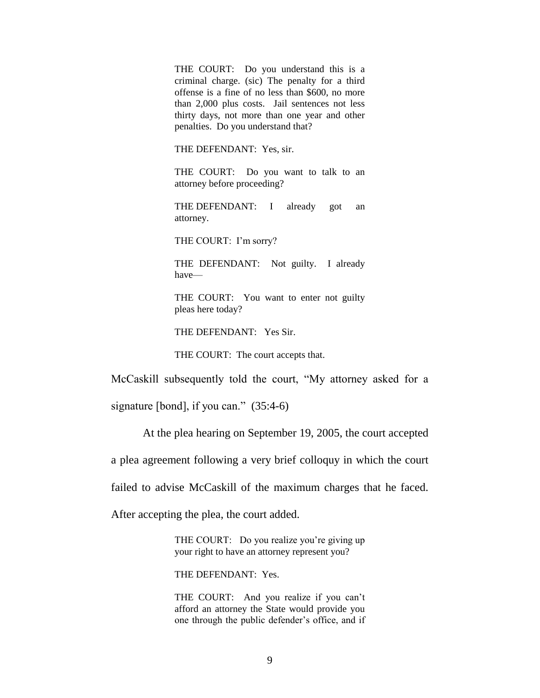THE COURT: Do you understand this is a criminal charge. (sic) The penalty for a third offense is a fine of no less than \$600, no more than 2,000 plus costs. Jail sentences not less thirty days, not more than one year and other penalties. Do you understand that?

THE DEFENDANT: Yes, sir.

THE COURT: Do you want to talk to an attorney before proceeding?

THE DEFENDANT: I already got an attorney.

THE COURT: I'm sorry?

THE DEFENDANT: Not guilty. I already have—

THE COURT: You want to enter not guilty pleas here today?

THE DEFENDANT: Yes Sir.

THE COURT: The court accepts that.

McCaskill subsequently told the court, "My attorney asked for a

signature [bond], if you can." (35:4-6)

At the plea hearing on September 19, 2005, the court accepted

a plea agreement following a very brief colloquy in which the court

failed to advise McCaskill of the maximum charges that he faced.

After accepting the plea, the court added.

THE COURT: Do you realize you're giving up your right to have an attorney represent you?

THE DEFENDANT: Yes.

THE COURT: And you realize if you can't afford an attorney the State would provide you one through the public defender's office, and if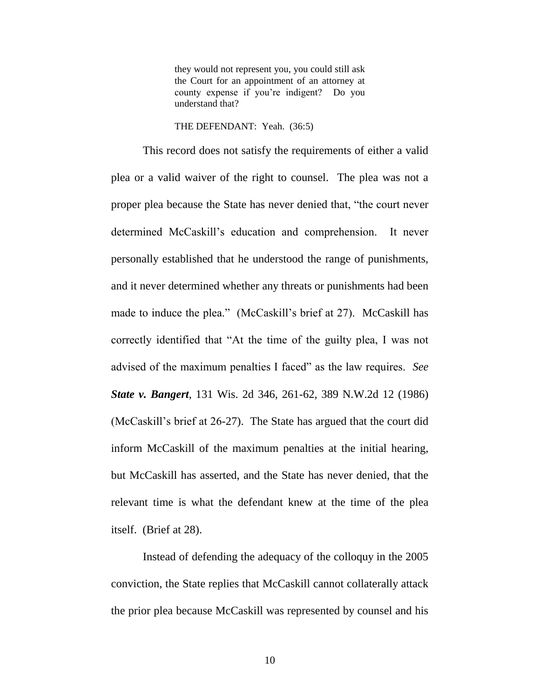they would not represent you, you could still ask the Court for an appointment of an attorney at county expense if you're indigent? Do you understand that?

THE DEFENDANT: Yeah. (36:5)

This record does not satisfy the requirements of either a valid plea or a valid waiver of the right to counsel. The plea was not a proper plea because the State has never denied that, "the court never determined McCaskill's education and comprehension. It never personally established that he understood the range of punishments, and it never determined whether any threats or punishments had been made to induce the plea." (McCaskill's brief at 27). McCaskill has correctly identified that "At the time of the guilty plea, I was not advised of the maximum penalties I faced" as the law requires. *See State v. Bangert*, 131 Wis. 2d 346, 261-62, 389 N.W.2d 12 (1986) (McCaskill's brief at 26-27). The State has argued that the court did inform McCaskill of the maximum penalties at the initial hearing, but McCaskill has asserted, and the State has never denied, that the relevant time is what the defendant knew at the time of the plea itself. (Brief at 28).

Instead of defending the adequacy of the colloquy in the 2005 conviction, the State replies that McCaskill cannot collaterally attack the prior plea because McCaskill was represented by counsel and his

10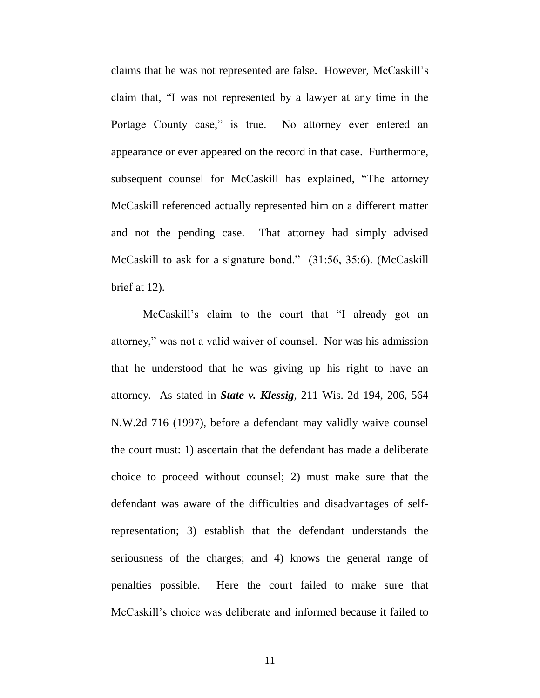claims that he was not represented are false. However, McCaskill's claim that, "I was not represented by a lawyer at any time in the Portage County case," is true. No attorney ever entered an appearance or ever appeared on the record in that case. Furthermore, subsequent counsel for McCaskill has explained, "The attorney McCaskill referenced actually represented him on a different matter and not the pending case. That attorney had simply advised McCaskill to ask for a signature bond." (31:56, 35:6). (McCaskill brief at 12).

McCaskill's claim to the court that "I already got an attorney," was not a valid waiver of counsel. Nor was his admission that he understood that he was giving up his right to have an attorney. As stated in *State v. Klessig*, 211 Wis. 2d 194, 206, 564 N.W.2d 716 (1997), before a defendant may validly waive counsel the court must: 1) ascertain that the defendant has made a deliberate choice to proceed without counsel; 2) must make sure that the defendant was aware of the difficulties and disadvantages of selfrepresentation; 3) establish that the defendant understands the seriousness of the charges; and 4) knows the general range of penalties possible. Here the court failed to make sure that McCaskill's choice was deliberate and informed because it failed to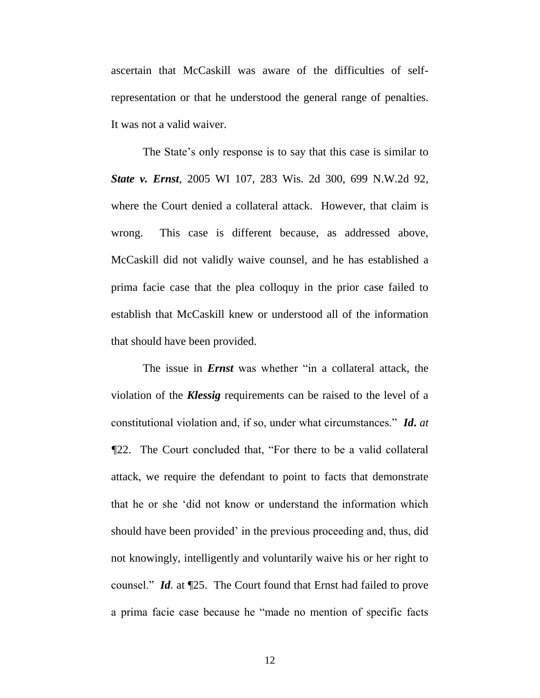ascertain that McCaskill was aware of the difficulties of selfrepresentation or that he understood the general range of penalties. It was not a valid waiver.

The State's only response is to say that this case is similar to *State v. Ernst*, 2005 WI 107, 283 Wis. 2d 300, 699 N.W.2d 92, where the Court denied a collateral attack. However, that claim is wrong. This case is different because, as addressed above, McCaskill did not validly waive counsel, and he has established a prima facie case that the plea colloquy in the prior case failed to establish that McCaskill knew or understood all of the information that should have been provided.

The issue in *Ernst* was whether "in a collateral attack, the violation of the *Klessig* requirements can be raised to the level of a constitutional violation and, if so, under what circumstances." *Id***.** *at ¶*22. The Court concluded that, "For there to be a valid collateral attack, we require the defendant to point to facts that demonstrate that he or she 'did not know or understand the information which should have been provided' in the previous proceeding and, thus, did not knowingly, intelligently and voluntarily waive his or her right to counsel." *Id*. at ¶25. The Court found that Ernst had failed to prove a prima facie case because he "made no mention of specific facts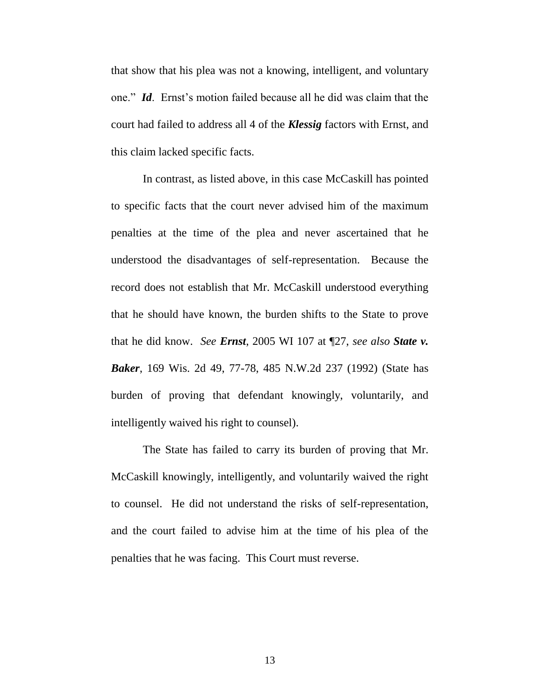that show that his plea was not a knowing, intelligent, and voluntary one." *Id*. Ernst's motion failed because all he did was claim that the court had failed to address all 4 of the *Klessig* factors with Ernst, and this claim lacked specific facts.

In contrast, as listed above, in this case McCaskill has pointed to specific facts that the court never advised him of the maximum penalties at the time of the plea and never ascertained that he understood the disadvantages of self-representation. Because the record does not establish that Mr. McCaskill understood everything that he should have known, the burden shifts to the State to prove that he did know. *See Ernst*, 2005 WI 107 at ¶27, *see also State v. Baker*, 169 Wis. 2d 49, 77-78, 485 N.W.2d 237 (1992) (State has burden of proving that defendant knowingly, voluntarily, and intelligently waived his right to counsel).

The State has failed to carry its burden of proving that Mr. McCaskill knowingly, intelligently, and voluntarily waived the right to counsel. He did not understand the risks of self-representation, and the court failed to advise him at the time of his plea of the penalties that he was facing. This Court must reverse.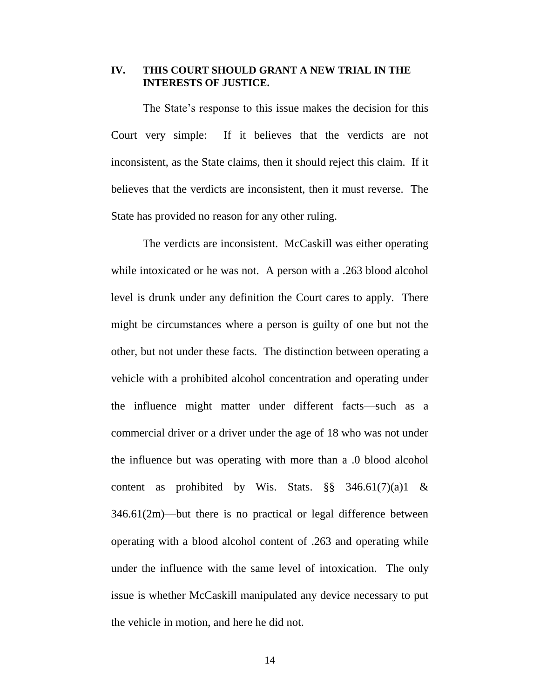#### **IV. THIS COURT SHOULD GRANT A NEW TRIAL IN THE INTERESTS OF JUSTICE.**

The State's response to this issue makes the decision for this Court very simple: If it believes that the verdicts are not inconsistent, as the State claims, then it should reject this claim. If it believes that the verdicts are inconsistent, then it must reverse. The State has provided no reason for any other ruling.

The verdicts are inconsistent. McCaskill was either operating while intoxicated or he was not. A person with a .263 blood alcohol level is drunk under any definition the Court cares to apply. There might be circumstances where a person is guilty of one but not the other, but not under these facts. The distinction between operating a vehicle with a prohibited alcohol concentration and operating under the influence might matter under different facts—such as a commercial driver or a driver under the age of 18 who was not under the influence but was operating with more than a .0 blood alcohol content as prohibited by Wis. Stats.  $\S\S$  346.61(7)(a)1 & 346.61(2m)—but there is no practical or legal difference between operating with a blood alcohol content of .263 and operating while under the influence with the same level of intoxication. The only issue is whether McCaskill manipulated any device necessary to put the vehicle in motion, and here he did not.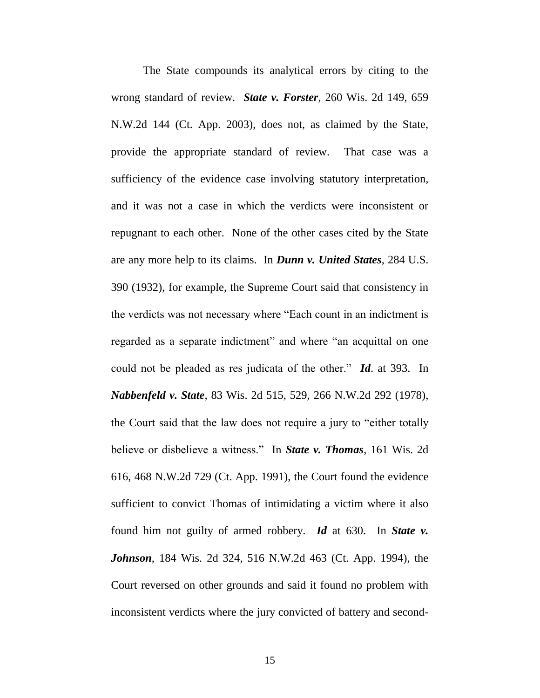The State compounds its analytical errors by citing to the wrong standard of review. *State v. Forster*, 260 Wis. 2d 149, 659 N.W.2d 144 (Ct. App. 2003), does not, as claimed by the State, provide the appropriate standard of review. That case was a sufficiency of the evidence case involving statutory interpretation, and it was not a case in which the verdicts were inconsistent or repugnant to each other. None of the other cases cited by the State are any more help to its claims. In *Dunn v. United States*, 284 U.S. 390 (1932), for example, the Supreme Court said that consistency in the verdicts was not necessary where "Each count in an indictment is regarded as a separate indictment" and where "an acquittal on one could not be pleaded as res judicata of the other." *Id*. at 393. In *Nabbenfeld v. State*, 83 Wis. 2d 515, 529, 266 N.W.2d 292 (1978), the Court said that the law does not require a jury to "either totally believe or disbelieve a witness." In *State v. Thomas*, 161 Wis. 2d 616, 468 N.W.2d 729 (Ct. App. 1991), the Court found the evidence sufficient to convict Thomas of intimidating a victim where it also found him not guilty of armed robbery. *Id* at 630. In *State v. Johnson*, 184 Wis. 2d 324, 516 N.W.2d 463 (Ct. App. 1994), the Court reversed on other grounds and said it found no problem with inconsistent verdicts where the jury convicted of battery and second-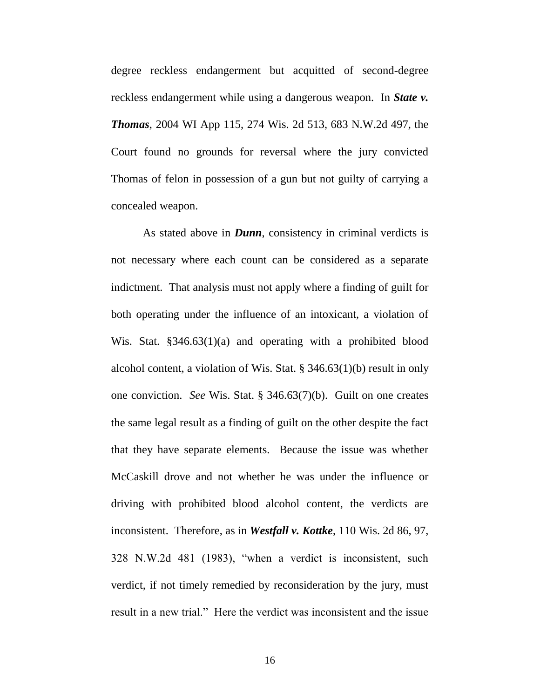degree reckless endangerment but acquitted of second-degree reckless endangerment while using a dangerous weapon. In *State v. Thomas*, 2004 WI App 115, 274 Wis. 2d 513, 683 N.W.2d 497, the Court found no grounds for reversal where the jury convicted Thomas of felon in possession of a gun but not guilty of carrying a concealed weapon.

As stated above in *Dunn*, consistency in criminal verdicts is not necessary where each count can be considered as a separate indictment. That analysis must not apply where a finding of guilt for both operating under the influence of an intoxicant, a violation of Wis. Stat. §346.63(1)(a) and operating with a prohibited blood alcohol content, a violation of Wis. Stat. § 346.63(1)(b) result in only one conviction. *See* Wis. Stat. § 346.63(7)(b). Guilt on one creates the same legal result as a finding of guilt on the other despite the fact that they have separate elements. Because the issue was whether McCaskill drove and not whether he was under the influence or driving with prohibited blood alcohol content, the verdicts are inconsistent. Therefore, as in *Westfall v. Kottke*, 110 Wis. 2d 86, 97, 328 N.W.2d 481 (1983), "when a verdict is inconsistent, such verdict, if not timely remedied by reconsideration by the jury, must result in a new trial." Here the verdict was inconsistent and the issue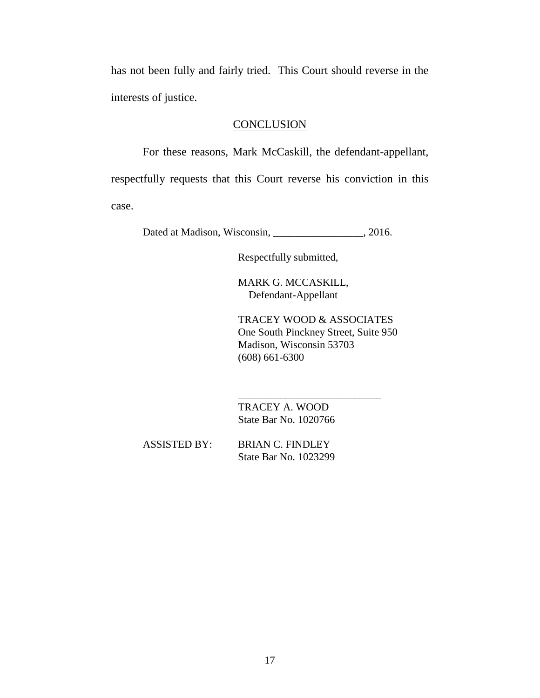has not been fully and fairly tried. This Court should reverse in the interests of justice.

## **CONCLUSION**

For these reasons, Mark McCaskill, the defendant-appellant, respectfully requests that this Court reverse his conviction in this case.

Dated at Madison, Wisconsin, \_\_\_\_\_\_\_\_\_\_\_\_\_\_\_\_, 2016.

Respectfully submitted,

MARK G. MCCASKILL, Defendant-Appellant

TRACEY WOOD & ASSOCIATES One South Pinckney Street, Suite 950 Madison, Wisconsin 53703 (608) 661-6300

\_\_\_\_\_\_\_\_\_\_\_\_\_\_\_\_\_\_\_\_\_\_\_\_\_\_\_

 TRACEY A. WOOD State Bar No. 1020766

ASSISTED BY: BRIAN C. FINDLEY State Bar No. 1023299